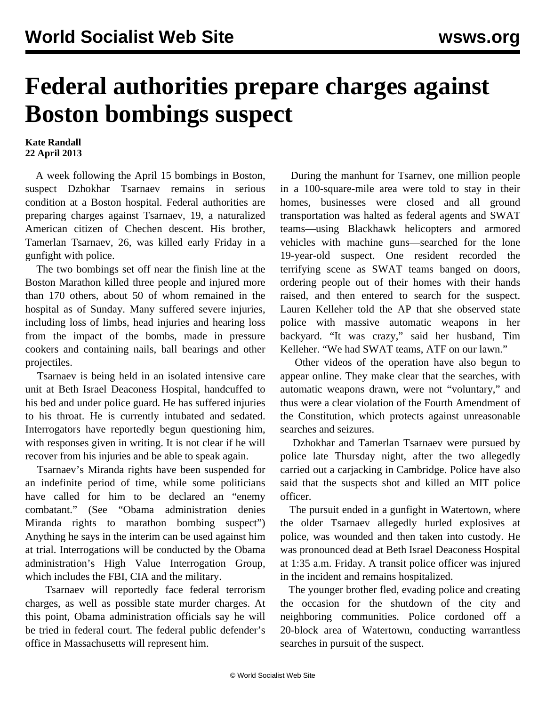## **Federal authorities prepare charges against Boston bombings suspect**

## **Kate Randall 22 April 2013**

 A week following the April 15 bombings in Boston, suspect Dzhokhar Tsarnaev remains in serious condition at a Boston hospital. Federal authorities are preparing charges against Tsarnaev, 19, a naturalized American citizen of Chechen descent. His brother, Tamerlan Tsarnaev, 26, was killed early Friday in a gunfight with police.

 The two bombings set off near the finish line at the Boston Marathon killed three people and injured more than 170 others, about 50 of whom remained in the hospital as of Sunday. Many suffered severe injuries, including loss of limbs, head injuries and hearing loss from the impact of the bombs, made in pressure cookers and containing nails, ball bearings and other projectiles.

 Tsarnaev is being held in an isolated intensive care unit at Beth Israel Deaconess Hospital, handcuffed to his bed and under police guard. He has suffered injuries to his throat. He is currently intubated and sedated. Interrogators have reportedly begun questioning him, with responses given in writing. It is not clear if he will recover from his injuries and be able to speak again.

 Tsarnaev's Miranda rights have been suspended for an indefinite period of time, while some politicians have called for him to be declared an "enemy combatant." (See ["Obama administration denies](/en/articles/2010/05/hold-m10.html) [Miranda rights to marathon bombing suspect](/en/articles/2010/05/hold-m10.html)") Anything he says in the interim can be used against him at trial. Interrogations will be conducted by the Obama administration's High Value Interrogation Group, which includes the FBI, CIA and the military.

 Tsarnaev will reportedly face federal terrorism charges, as well as possible state murder charges. At this point, Obama administration officials say he will be tried in federal court. The federal public defender's office in Massachusetts will represent him.

 During the manhunt for Tsarnev, one million people in a 100-square-mile area were told to stay in their homes, businesses were closed and all ground transportation was halted as federal agents and SWAT teams—using Blackhawk helicopters and armored vehicles with machine guns—searched for the lone 19-year-old suspect. [One resident recorded the](http://www.youtube.com/watch?v=2LrbsUVSVl8) [terrifying scene](http://www.youtube.com/watch?v=2LrbsUVSVl8) as SWAT teams banged on doors, ordering people out of their homes with their hands raised, and then entered to search for the suspect. Lauren Kelleher told the AP that she observed state police with massive automatic weapons in her backyard. "It was crazy," said her husband, Tim Kelleher. "We had SWAT teams, ATF on our lawn."

 Other [videos](http://youtu.be/cBKCnJPFO5I) of the operation have also begun to appear online. They make clear that the searches, with automatic weapons drawn, were not "voluntary," and thus were a clear violation of the Fourth Amendment of the Constitution, which protects against unreasonable searches and seizures.

 Dzhokhar and Tamerlan Tsarnaev were pursued by police late Thursday night, after the two allegedly carried out a carjacking in Cambridge. Police have also said that the suspects shot and killed an MIT police officer.

 The pursuit ended in a gunfight in Watertown, where the older Tsarnaev allegedly hurled explosives at police, was wounded and then taken into custody. He was pronounced dead at Beth Israel Deaconess Hospital at 1:35 a.m. Friday. A transit police officer was injured in the incident and remains hospitalized.

 The younger brother fled, evading police and creating the occasion for the shutdown of the city and neighboring communities. Police cordoned off a 20-block area of Watertown, conducting warrantless searches in pursuit of the suspect.